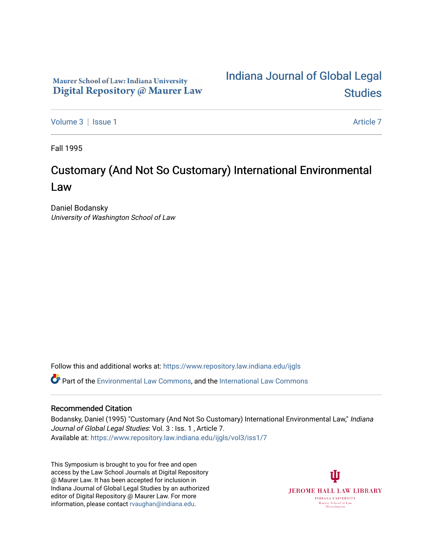### Maurer School of Law: Indiana University Digital Repository @ Maurer Law

# [Indiana Journal of Global Legal](https://www.repository.law.indiana.edu/ijgls)  **Studies**

[Volume 3](https://www.repository.law.indiana.edu/ijgls/vol3) | [Issue 1](https://www.repository.law.indiana.edu/ijgls/vol3/iss1) [Article 7](https://www.repository.law.indiana.edu/ijgls/vol3/iss1/7) Article 7 Article 7 Article 7 Article 7 Article 7 Article 7

Fall 1995

# Customary (And Not So Customary) International Environmental Law

Daniel Bodansky University of Washington School of Law

Follow this and additional works at: [https://www.repository.law.indiana.edu/ijgls](https://www.repository.law.indiana.edu/ijgls?utm_source=www.repository.law.indiana.edu%2Fijgls%2Fvol3%2Fiss1%2F7&utm_medium=PDF&utm_campaign=PDFCoverPages)  Part of the [Environmental Law Commons](http://network.bepress.com/hgg/discipline/599?utm_source=www.repository.law.indiana.edu%2Fijgls%2Fvol3%2Fiss1%2F7&utm_medium=PDF&utm_campaign=PDFCoverPages), and the [International Law Commons](http://network.bepress.com/hgg/discipline/609?utm_source=www.repository.law.indiana.edu%2Fijgls%2Fvol3%2Fiss1%2F7&utm_medium=PDF&utm_campaign=PDFCoverPages) 

### Recommended Citation

Bodansky, Daniel (1995) "Customary (And Not So Customary) International Environmental Law," Indiana Journal of Global Legal Studies: Vol. 3 : Iss. 1 , Article 7. Available at: [https://www.repository.law.indiana.edu/ijgls/vol3/iss1/7](https://www.repository.law.indiana.edu/ijgls/vol3/iss1/7?utm_source=www.repository.law.indiana.edu%2Fijgls%2Fvol3%2Fiss1%2F7&utm_medium=PDF&utm_campaign=PDFCoverPages) 

This Symposium is brought to you for free and open access by the Law School Journals at Digital Repository @ Maurer Law. It has been accepted for inclusion in Indiana Journal of Global Legal Studies by an authorized editor of Digital Repository @ Maurer Law. For more information, please contact [rvaughan@indiana.edu](mailto:rvaughan@indiana.edu).

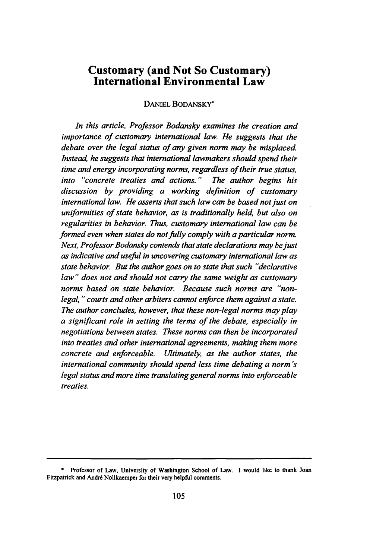## **Customary (and Not So Customary) International Environmental Law**

#### **DANIEL** BODANSKY"

*In this article, Professor Bodansky examines the creation and importance of customary international law. He suggests that the debate over the legal status of any given norm may be misplaced Instead, he suggests that international lawmakers should spend their time and energy incorporating norms, regardless of their true status, into "concrete treaties and actions." The author begins his discussion by providing a working definition of customary international law. He asserts that such law can be based not just on uniformities of state behavior, as is traditionally held, but also on regularities in behavior. Thus, customary international law can be formed even when states do not fully comply with a particular norm. Next, Professor Bodansky contends that state declarations may be just as indicative and useful in uncovering customary international law as state behavior. But the author goes on to state that such "declarative law" does not and should not carry the same weight as customary norms based on state behavior. Because such norms are "nonlegal, "courts and other arbiters cannot enforce them against a state. The author concludes, however, that these non-legal norms may play a significant role in setting the terms of the debate, especially in negotiations between states. These norms can then be incorporated into treaties and other international agreements, making them more concrete and enforceable. Ultimately, as the author states, the international community should spend less time debating a norm's legal status and more time translating general norms into enforceable treaties.*

**<sup>\*</sup>** Professor of Law, University of Washington School of Law. **1** would like to thank Joan Fitzpatrick and André Nollkaemper for their very helpful comments.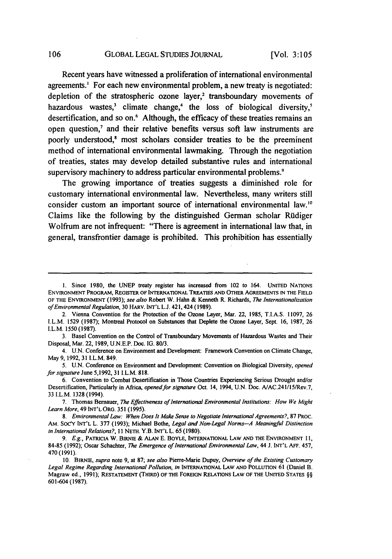#### GLOBAL **LEGAL** STUDIES JOURNAL

Recent years have witnessed a proliferation of international environmental agreements.' For each new environmental problem, a new treaty is negotiated: depletion of the stratospheric ozone layer,<sup>2</sup> transboundary movements of hazardous wastes,<sup>3</sup> climate change,<sup>4</sup> the loss of biological diversity,<sup>5</sup> desertification, and so on.<sup>6</sup> Although, the efficacy of these treaties remains an open question,<sup>7</sup> and their relative benefits versus soft law instruments are poorly understood,<sup>8</sup> most scholars consider treaties to be the preeminent method of international environmental lawmaking. Through the negotiation of treaties, states may develop detailed substantive rules and international supervisory machinery to address particular environmental problems.<sup>9</sup>

The growing importance of treaties suggests a diminished role for customary international environmental law. Nevertheless, many writers still consider custom an important source of international environmental law." Claims like the following **by** the distinguished German scholar Rfidiger Wolfrum are not infrequent: "There is agreement in international law that, in general, transfrontier damage is prohibited. This prohibition has essentially

<sup>1.</sup> Since **1980,** the **UNEP** treaty register has increased from 102 to 164. **UNITED NATIONS** ENVIRONMENT PROGRAM, REGISTER **OF** INTERNATIONAL TREATIES **AND** OTHER AGREEMENTS IN THE **FIELD** OF THE ENVIRONMENT (1993); *see also* Robert W. Hahn & Kenneth R. Richards, *The Internationalization of Environmental Regulation,* 30 HARV. **INT'L** L.J. 421,424 (1989).

<sup>2.</sup> Vienna Convention for the Protection of the Ozone Layer, Mar. 22, 1985, T.I.A.S. 11097, 26 I.L.M. 1529 (1987); Montreal Protocol on Substances that Deplete the Ozone Layer, Sept. 16, 1987, 26 I.L.M. 1550(1987).

<sup>3.</sup> Basel Convention on the Control of Transboundary Movements of Hazardous Wastes and Their Disposal, Mar. 22, 1989, U.N.E.P. Doc. **IG. 80/3.**

<sup>4.</sup> U.N. Conference on Environment and Development: Framework Convention on Climate Change, May 9, 1992,31 I.L.M. 849.

<sup>5.</sup> U.N. Conference on Environment and Development: Convention on Biological Diversity, *opened for signature* June 5,1992, 31 I.L.M. 818.

**<sup>6.</sup>** Convention to Combat Desertification in Those Countries Experiencing Serious Drought and/or Desertification, Particularly in Africa, *opened for signature* Oct. 14, 1994, U.N. Doc. A/AC.241/15/Rev.7, 33 I.L.M. 1328 (1994).

<sup>7.</sup> Thomas Bernauer, *The Effectiveness of International Environmental Institutions: How We Might Learn More,* 49 **INT'L** ORG. **351** (1995).

*<sup>8.</sup> Environmental Law: When Does It Make Sense to Negotiate International Agreements?,* 87 PROC. AM. SOC'Y **INT'L** L. **377** (1993); Michael Bothe, *Legal and Non-Legal Norms-A Meaningful Distinction in International Relations?,* **11 NETH.** Y.B. **INT'L** L. 65 (1980).

*<sup>9.</sup> E.g.,* **PATRICIA W. BIRNIE &** ALAN **E.** BOYLE, **INTERNATIONAL** LAW **AND** THE ENVIRONMENT **11,** 84-85 (1992); Oscar Schachter, *The Emergence of International Environmental Law,* 44 J. INT'L AFF. 457, 470(1991).

**<sup>10.</sup>** BIRNIE, *supra* note **9,** at 87; *see also* Pierre-Marie Dupuy, *Overview of the Existing Customary Legal Regime Regarding International Pollution, in* INTERNATIONAL **LAW AND** POLLUTION 61 (Daniel B. Magraw ed., 1991); RESTATEMENT (THIRD) OF **THE** FOREIGN RELATIONS LAW OF **THE** UNITED STATES §§ 601-604 (1987).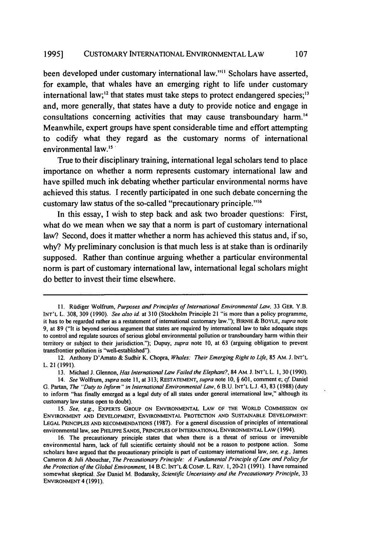been developed under customary international law."<sup>11</sup> Scholars have asserted, for example, that whales have an emerging right to life under customary international law;<sup>12</sup> that states must take steps to protect endangered species:<sup>13</sup> and, more generally, that states have a duty to provide notice and engage in consultations concerning activities that may cause transboundary harm.<sup>14</sup> Meanwhile, expert groups have spent considerable time and effort attempting to codify what they regard as the customary norms of international environmental  $law$ <sup>15</sup>

True to their disciplinary training, international legal scholars tend to place importance on whether a norm represents customary international law and have spilled much ink debating whether particular environmental norms have achieved this status. **I** recently participated in one such debate concerning the customary law status of the so-called "precautionary principle."<sup>16</sup>

In this essay, **I** wish to step back and ask two broader questions: First, what do we mean when we say that a norm is part of customary international law? Second, does it matter whether a norm has achieved this status and, if so, why? **My** preliminary conclusion is that much less is at stake than is ordinarily supposed. Rather than continue arguing whether a particular environmental norm is part of customary international law, international legal scholars might do better to invest their time elsewhere.

**<sup>11.</sup>** Rudiger Wolfrum, *Purposes and Principles of International Environmental Lav,* 33 GER. Y.B. INT'L L. 308, 309 (1990). *See also id* at 310 (Stockholm Principle 21 "is more than a policy programme, it has to be regarded rather as a restatement of international customary law."); BIRNIE & BOYLE, *supra* note 9, at 89 ("It is beyond serious argument that states are required by international law to take adequate steps to control and regulate sources of serious global environmental pollution or transboundary harm within their territory or subject to their jurisdiction."); Dupuy, *supra* note 10, at 63 (arguing obligation to prevent transfrontier pollution is "well-established").

<sup>12.</sup> Anthony D'Amato & Sudhir K. Chopra, *Whales: Their Emerging Right to Life,* 85 AM. J. INT'L L. 21 (1991).

<sup>13.</sup> Michael J. Glennon, *Has International Law Failed the Elephant?,* 84 AM. J. INT'L L. 1, 30 (1990).

<sup>14.</sup> *See* Wolfrum, *supra* note **11,** at 313; RESTATEMENT, *supra* note 10, **§** 601, comment e; cf Daniel G. Partan, *The "Duty to Inform" in International Environmental Law,* 6 B.U. INT'L L.J. 43, 83 (1988) (duty to inform "has finally emerged as a legal duty of all states under general international law," although its customary law status open to doubt).

<sup>15.</sup> *See, e.g.,* EXPERTS GROUP ON ENVIRONMENTAL LAW OF THE WORLD COMMISSION ON ENVIRONMENT AND DEVELOPMENT, ENVIRONMENTAL PROTECTION AND SUSTAINABLE DEVELOPMENT: LEGAL PRINCIPLES AND RECOMMENDATIONS (1987). For a general discussion of principles of international environmental law, see PHILIPPE SANDS, PRINCIPLES OF INTERNATIONAL ENVIRONMENTAL LAW (1994).

<sup>16.</sup> The precautionary principle states that when there is a threat of serious or irreversible environmental harm, lack of full scientific certainty should not be a reason to postpone action. Some scholars have argued that the precautionary principle is part of customary international law, *see, e.g,* James Cameron & Juli Abouchar, *The Precautionary Principle: A Fundamental Principle of Law and Policy for the Protection of the Global Environment,* 14 B.C. INT'L **&** COMP. L. REV. **1,** 20-21 (1991). 1 have remained somewhat skeptical. *See* Daniel M. Bodansky, *Scientific Uncertainty and the Precautionary Principle,* 33 ENVIRONMENT 4 (1991).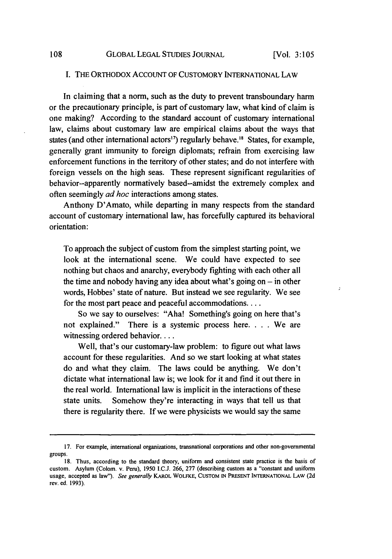b.

#### I. THE ORTHODOX ACCOUNT OF CUSTOMORY INTERNATIONAL LAW

In claiming that a norm, such as the duty to prevent transboundary harm or the precautionary principle, is part of customary law, what kind of claim is one making? According to the standard account of customary international law, claims about customary law are empirical claims about the ways that states (and other international actors<sup>17</sup>) regularly behave.<sup>18</sup> States, for example, generally grant immunity to foreign diplomats; refrain from exercising law enforcement functions in the territory of other states; and do not interfere with foreign vessels on the high seas. These represent significant regularities of behavior--apparently normatively based-amidst the extremely complex and often seemingly *ad hoc* interactions among states.

Anthony D'Amato, while departing in many respects from the standard account of customary international law, has forcefully captured its behavioral orientation:

To approach the subject of custom from the simplest starting point, we look at the international scene. We could have expected to see nothing but chaos and anarchy, everybody fighting with each other all the time and nobody having any idea about what's going on  $-$  in other words, Hobbes' state of nature. But instead we see regularity. We see for the most part peace and peaceful accommodations....

So we say to ourselves: "Aha! Something's going on here that's not explained." There is a systemic process here. . **.** . We are witnessing ordered behavior....

Well, that's our customary-law problem: to figure out what laws account for these regularities. And so we start looking at what states do and what they claim. The laws could be anything. We don't dictate what international law is; we look for it and find it out there in the real world. International law is implicit in the interactions of these state units. Somehow they're interacting in ways that tell us that there is regularity there. If we were physicists we would say the same

**<sup>17.</sup>** For example, international organizations, transnational corporations and other non-governmental groups.

<sup>18.</sup> Thus, according to the standard theory, uniform and consistent state practice is the basis of custom. Asylum (Colom. v. Peru), 1950 I.C.J. 266, 277 (describing custom as a "constant and uniform usage, accepted as law'). See generally KAROL WOLFKE, **CUSTOM IN PRESENT** INTERNATIONAL **LAW (2d** rev. ed. 1993).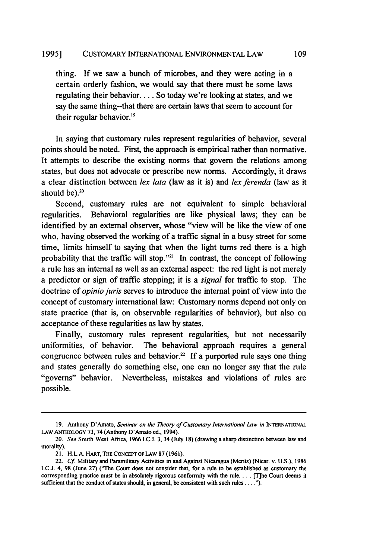thing. If we saw a bunch of microbes, and they were acting in a certain orderly fashion, we would say that there must be some laws regulating their behavior.... So today we're looking at states, and we say the same thing-that there are certain laws that seem to account for their regular behavior.<sup>19</sup>

In saying that customary rules represent regularities of behavior, several points should be noted. First, the approach is empirical rather than normative. It attempts to describe the existing norms that govern the relations among states, but does not advocate or prescribe new norms. Accordingly, it draws a clear distinction between *lex lata* (law as it is) and *lexferenda* (law as it should be). $20$ 

Second, customary rules are not equivalent to simple behavioral regularities. Behavioral regularities are like physical laws; they can be identified by an external observer, whose "view will be like the view of one who, having observed the working of a traffic signal in a busy street for some time, limits himself to saying that when the light turns red there is a high probability that the traffic will stop."<sup>21</sup> In contrast, the concept of following a rule has an internal as well as an external aspect: the red light is not merely a predictor or sign of traffic stopping; it is a *signal* for traffic to stop. The doctrine of *opinio juris* serves to introduce the internal point of view into the concept of customary international law: Customary norms depend not only on state practice (that is, on observable regularities of behavior), but also on acceptance of these regularities as law by states.

Finally, customary rules represent regularities, but not necessarily uniformities, of behavior. The behavioral approach requires a general congruence between rules and behavior.<sup>22</sup> If a purported rule says one thing and states generally do something else, one can no longer say that the rule "governs" behavior. Nevertheless, mistakes and violations of rules are possible.

**<sup>19.</sup>** Anthony D'Amato, *Seminar on the Theory of Customary International Law in* **INTERNATIONAL** LAW **ANTHOLOGY** 73, 74 (Anthony D'Amato ed., 1994).

<sup>20.</sup> *See* South West Africa, 1966 I.C.J. **3,** 34 (July 18) (drawing a sharp distinction between law and morality).

<sup>21.</sup> H.L.A. HART, **THE CONCEPT OF** LAW **87** (1961).

<sup>22.</sup> Cf. Military and Paramilitary Activities in and Against Nicaragua (Merits) (Nicar. v. U.S.), 1986 I.C.J. 4, 98 (June 27) ("The Court does not consider that, for a rule to **be** established as customary the corresponding practice must be in absolutely rigorous conformity with the **rule....** [Tihe Court deems it sufficient that the conduct of states should, in general, be consistent with such rules  $\dots$ .").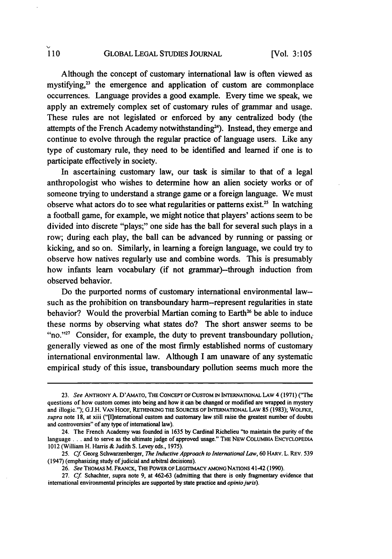GLOBAL LEGAL STUDIES JOURNAL

Although the concept of customary international law is often viewed as mystifying, $23$  the emergence and application of custom are commonplace occurrences. Language provides a good example. Every time we speak, we apply an extremely complex set of customary rules of grammar and usage. These rules are not legislated or enforced **by** any centralized body (the attempts of the French Academy notwithstanding $2<sup>24</sup>$ ). Instead, they emerge and continue to evolve through the regular practice of language users. Like any type of customary rule, they need to be identified and learned if one is to participate effectively in society.

In ascertaining customary law, our task is similar to that of a legal anthropologist who wishes to determine how an alien society works or of someone trying to understand a strange game or a foreign language. We must observe what actors do to see what regularities or patterns exist.<sup>25</sup> In watching a football game, for example, we might notice that players' actions seem to be divided into discrete "plays;" one side has the ball for several such plays in a row; during each play, the ball can be advanced **by** running or passing or kicking, and so on. Similarly, in learning a foreign language, we could try to observe how natives regularly use and combine words. This is presumably how infants learn vocabulary (if not grammar)-through induction from observed behavior.

Do the purported norms of customary international environmental law- such as the prohibition on transboundary harm-represent regularities in state behavior? Would the proverbial Martian coming to Earth<sup>26</sup> be able to induce these norms by observing what states do? The short answer seems to be "no."<sup>27</sup> Consider, for example, the duty to prevent transboundary pollution, generally viewed as one of the most firmly established norms of customary international environmental law. Although I am unaware of any systematic empirical study of this issue, transboundary pollution seems much more the

<sup>23.</sup> *See* **ANTHONY A. D'AMATO, THE CONCEPT OF CUSTOM IN INTERNATIONAL LAW** 4 (1971) **("The** questions of how custom comes into being and how it can be changed or modified are wrapped in mystery and illogic."); **G.J.H. VAN HOOF, RETHNKING THE SOURCES OF INTERNATIONAL LAW 85 (1983); WOLFKE,** *supra* note **18,** at xiii ("[]ntemational custom and customary law still raise the greatest number of doubts and controversies" of any type of international law).

<sup>24.</sup> The French Academy was founded in **1635 by** Cardinal Richelieu "to maintain the purity of the language **...** and to serve as the ultimate judge of approved usage." THE NEW COLUMBIA ENCYCLOPEDIA 1012 (William H. Harris & Judith **S.** Levey eds., **1975).**

*<sup>25.</sup>* **Cf.** Georg Schwarzenberger, *The Inductive Approach to International Law,* **60** HARv. L. REv. **539** (1947) (emphasizing study of judicial and arbitral decisions).

<sup>26.</sup> *See Thomas M. Franck, The Power of Legitimacy among Nations 41-42 (1990).* 

<sup>27.</sup> **Cf.** Schachter, supra note 9, at 462-63 (admitting that there is only fragmentary evidence that international environmental principles are supported by state practice and *opiniojuris).*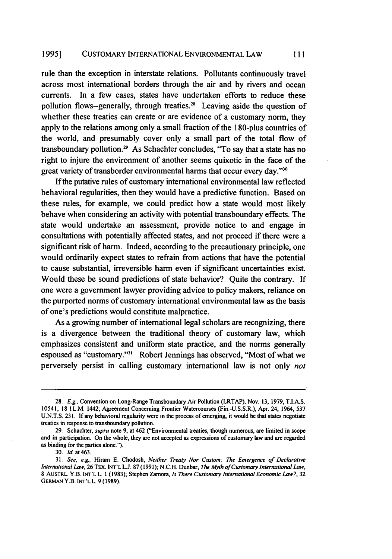rule than the exception in interstate relations. Pollutants continuously travel across most international borders through the air and by rivers and ocean currents. In a few cases, states have undertaken efforts to reduce these pollution flows-generally, through treaties.<sup>28</sup> Leaving aside the question of whether these treaties can create or are evidence of a customary norm, they apply to the relations among only a small fraction of the 180-plus countries of the world, and presumably cover only a small part of the total flow of transboundary pollution.<sup>29</sup> As Schachter concludes, "To say that a state has no right to injure the environment of another seems quixotic in the face of the great variety of transborder environmental harms that occur every day."<sup>30</sup>

If the putative rules of customary international environmental law reflected behavioral regularities, then they would have a predictive function. Based on these rules, for example, we could predict how a state would most likely behave when considering an activity with potential transboundary effects. The state would undertake an assessment, provide notice to and engage in consultations with potentially affected states, and not proceed if there were a significant risk of harm. Indeed, according to the precautionary principle, one would ordinarily expect states to refrain from actions that have the potential to cause substantial, irreversible harm even if significant uncertainties exist. Would these be sound predictions of state behavior? Quite the contrary. If one were a government lawyer providing advice to policy makers, reliance on the purported norms of customary international environmental law as the basis of one's predictions would constitute malpractice.

As a growing number of international legal scholars are recognizing, there is a divergence between the traditional theory of customary law, which emphasizes consistent and uniform state practice, and the norms generally espoused as "customary."3' Robert Jennings has observed, "Most of what we perversely persist in calling customary international law is not only *not*

30. *Id* at 463.

**<sup>28.</sup>** E.g., Convention on Long-Range Transboundary Air Pollution (LRTAP), Nov. 13, 1979, T.1.A.S. 10541, **18** I.L.M. 1442; Agreement Concerning Frontier Watercourses (Fin.-U.S.S.R.), Apr. 24, 1964, 537 **U.N.T.S.** 231. **If** any behavioral regularity were in the process of emerging, it would be that states negotiate treaties in response to transboundary pollution.

**<sup>29.</sup>** Schachter, supra note **9,** at 462 ("Environmental treaties, though numerous, are limited in scope and in participation. On the whole, they are not accepted as expressions of customary law and are regarded as binding for the parties alone.").

<sup>31.</sup> See, e.g., Hiram E. Chodosh, Neither Treaty Nor Custom: *The* Emergence of Declarative *International Law,* 26 TEx. **INT'L** L.J. **87** (1991); N.C.H. Dunbar, *The Myth of Customary International Law,* **8** AUSTRL. Y.B. INT'L L. 1 (1983); Stephen Zamora, *Is There Customary International Economic Law?,* 32 **GERMAN** Y.B. INT'L L. 9 (1989).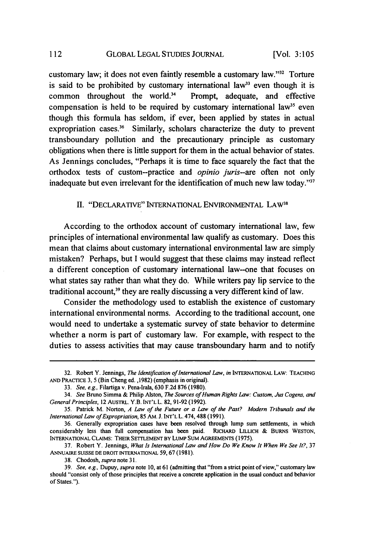customary law; it does not even faintly resemble a customary law."32 Torture is said to be prohibited **by** customary international **law33** even though it is common throughout the world.<sup>34</sup> Prompt, adequate, and effective compensation is held to be required **by** customary international **law35** even though this formula has seldom, if ever, been applied **by** states in actual expropriation cases.<sup>36</sup> Similarly, scholars characterize the duty to prevent transboundary pollution and the precautionary principle as customary obligations when there is little support for them in the actual behavior of states. As Jennings concludes, "Perhaps it is time to face squarely the fact that the orthodox tests of custom-practice and *opinio juris-are* often not only inadequate but even irrelevant for the identification of much new law today."<sup>37</sup>

#### II. "DECLARATIVE" INTERNATIONAL ENVIRONMENTAL LAW38

According to the orthodox account of customary international law, few principles of international environmental law qualify as customary. Does this mean that claims about customary international environmental law are simply mistaken? Perhaps, but I would suggest that these claims may instead reflect a different conception of customary international law--one that focuses on what states say rather than what they do. While writers pay lip service to the traditional account,<sup>39</sup> they are really discussing a very different kind of law.

Consider the methodology used to establish the existence of customary international environmental norms. According to the traditional account, one would need to undertake a systematic survey of state behavior to determine whether a norm is part of customary law. For example, with respect to the duties to assess activities that may cause transboundary harm and to notify

37. Robert Y. Jennings, *What Is International Law and How Do We Know It When We See I?,* 37 ANNUAIRE **SUISSE DE DROIT INTERNATIONAL** 59, 67 (1981).

<sup>32.</sup> Robert Y. Jennings, *The Identification of International Law, in* INTERNATIONAL LAW: TEACHING **AND PRACTICE** 3, 5 (Bin Cheng ed. ,1982) (emphasis in original).

<sup>33.</sup> *See, e.g,* Filartiga v. Pena-Irala, 630 F.2d 876 (1980).

<sup>34.</sup> *See* Bruno Simma & Philip Alston, *The Sources of* Human *Rights Law: Custom, Jus Cogens, and General Principles,* 12 AUSTRL. Y.B. **INT'L** L. 82, 91-92 (1992).

<sup>35.</sup> Patrick M. Norton, *A Law of the Future or a Law of the Past? Modern Tribunals and the International Law of Expropriation,* **85** Am. J. INT'L L. 474,488 (1991).

<sup>36.</sup> Generally expropriation cases have been resolved through lump sum settlements, in which considerably less than full compensation has been paid. **RIcHARD** LILLICH & BURNS WESTON, INTERNATIONAL CLAIMS: THEIR SETTLEMENT BY LUMP **SUM AGREEMENTS** (1975).

<sup>38.</sup> Chodosh, *supra* note 31.

<sup>39.</sup> *See, e.g.,* Dupuy, *supra* note 10, at 61 (admitting that "from a strict point of view," customary law should "consist only of those principles that receive a concrete application in the usual conduct and behavior of States.").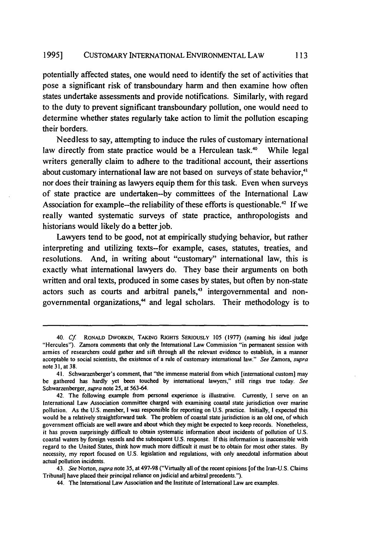potentially affected states, one would need to identify the set of activities that pose a significant risk of transboundary harm and then examine how often states undertake assessments and provide notifications. Similarly, with regard to the duty to prevent significant transboundary pollution, one would need to determine whether states regularly take action to limit the pollution escaping their borders.

Needless to say, attempting to induce the rules of customary international law directly from state practice would be a Herculean task.<sup>40</sup> While legal writers generally claim to adhere to the traditional account, their assertions about customary international law are not based on surveys of state behavior.<sup>41</sup> nor does their training as lawyers equip them for this task. Even when surveys of state practice are undertaken--by committees of the International Law Association for example--the reliability of these efforts is questionable.<sup>42</sup> If we really wanted systematic surveys of state practice, anthropologists and historians would likely do a better job.

Lawyers tend to be good, not at empirically studying behavior, but rather interpreting and utilizing texts-for example, cases, statutes, treaties, and resolutions. And, in writing about "customary" international law, this is exactly what international lawyers do. They base their arguments on both written and oral texts, produced in some cases by states, but often by non-state actors such as courts and arbitral panels,<sup>43</sup> intergovernmental and nongovernmental organizations,<sup>44</sup> and legal scholars. Their methodology is to

43. See Norton, supra note 35, at 497-98 ("Virtually all of the recent opinions [of the Iran-U.S. Claims Tribunal] have placed their principal reliance on judicial and arbitral precedents.").

44. The International Law Association and the Institute of International Law are examples.

<sup>40.</sup> Cf RONALD DwoRKrN, TAKING RIGHTS SERIOUSLY 105 (1977) (naming his ideal **judge** "Hercules"). Zamora comments that only the International Law Commission "in permanent session with armies of researchers could gather and sift through all the relevant evidence to establish, in a manner acceptable to social scientists, the existence of a rule of customary international law." See *Zamora,* supra note **31,** at **38.**

<sup>41.</sup> Schwarzenberger's comment, that "the immense material from which [international custom] may be gathered has hardly yet been touched **by** international lawyers," still rings true today. See Schwarzenberger, supra note **25,** at 563-64.

<sup>42.</sup> The following example from personal experience is illustrative. Currently, **I** serve on an International Law Association committee charged with examining coastal state jurisdiction over marine pollution. As the U.S. member, **I** was responsible for reporting on U.S. practice. Initially, **I** expected this would be a relatively straightforward task. The problem of coastal state jurisdiction is an old one, of which government officials are well aware and about which they might be expected to keep records. Nonetheless, it has proven surprisingly difficult to obtain systematic information about incidents of pollution of U.S. coastal waters **by** foreign vessels and the subsequent U.S. response. **If** this information is inaccessible with regard to the United States, think how much more difficult it must be to obtain for most other states. By necessity, my report focused on U.S. legislation and regulations, with only anecdotal information about actual pollution incidents.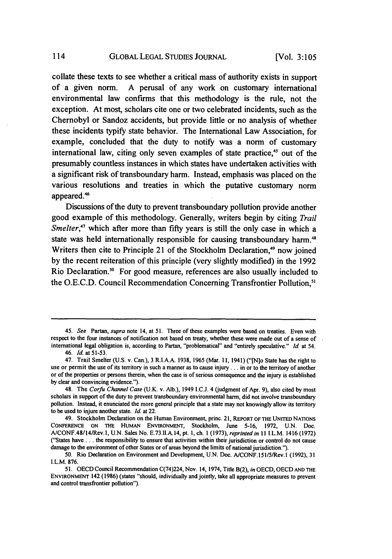collate these texts to see whether a critical mass of authority exists in support of a given norm. **A** perusal of any work on customary international environmental law confirms that this methodology is the rule, not the exception. At most, scholars cite one or two celebrated incidents, such as the Chernobyl or Sandoz accidents, but provide little or no analysis of whether these incidents typify state behavior. The International Law Association, for example, concluded that the duty to notify was a norm of customary international law, citing only seven examples of state practice,<sup>45</sup> out of the presumably countless instances in which states have undertaken activities with a significant risk of transboundary harm. Instead, emphasis was placed on the various resolutions and treaties in which the putative customary norm appeared.<sup>46</sup>

Discussions of the duty to prevent transboundary pollution provide another good example of this methodology. Generally, writers begin **by** citing *Trail Smelter*<sup>47</sup> which after more than fifty years is still the only case in which a state was held internationally responsible for causing transboundary harm.<sup>48</sup> Writers then cite to Principle 21 of the Stockholm Declaration,<sup>49</sup> now joined **by** the recent reiteration of this principle (very slightly modified) in the **1992** Rio Declaration.<sup>50</sup> For good measure, references are also usually included to the **O.E.C.D.** Council Recommendation Concerning Transfrontier Pollution,"

114

*<sup>45.</sup> See* Partan, *supra* note 14, at 51. Three of these examples were based on treaties. Even with respect to the four instances of notification not based on treaty, whether these were made out of a sense of international legal obligation is, according to Partan, "problematical" and "entirely speculative." *Id.* at 54. 46. *Id.* at 51-53.

<sup>47.</sup> Trail Smelter (U.S. v. Can.), 3 R.I.A.A. 1938, 1965 (Mar. 11, 1941) ("[N]o State has the right to use or permit the use of its territory in such a manner as to cause injury... in or to the territory of another or of the properties or persons therein, when the case is of serious consequence and the injury is established by clear and convincing evidence.").

<sup>48.</sup> The *Corfu Channel Case* (U.K. v. Alb.), 1949 l.C.J. 4 (judgment of Apr. 9), also cited by most scholars in support of the duty to prevent transboundary environmental harm, did not involve transboundary pollution. Instead, it enunciated the more general principle that a state may not knowingly allow its territory to be used to injure another state. *Id* at 22.

<sup>49.</sup> Stockholm Declaration on the Human Environment, princ. 21, REPORT OF THE UNITED NATIONS **CONFERENCE** ON THE HUMAN ENVIRONMENT, Stockholm, June 5-16, 1972, U.N. Doc. A/CONF.48/14/Rev.1, U.N. Sales No. E.73.11.A.14, pt. **1,** ch. 1 (1973), reprinted in 11 I.L.M. 1416 (1972) ("States have **...** the responsibility to ensure that activities within their jurisdiction or control do not cause damage to the environment of other States or of areas beyond the limits of national jurisdiction.").

<sup>50.</sup> Rio Declaration on Environment and Development, U.N. Doc. A/CONF.151/5/Rev.1 (1992), 31 I.L.M. 876.

*<sup>5</sup>* **1.** OECD Council Recommendation C(74)224, Nov. 14, 1974, Title B(2), in OECD, OECD **AND** THE ENVIRONMENT 142 (1986) (states "should, individually and jointly, take all appropriate measures to prevent and control transfrontier pollution").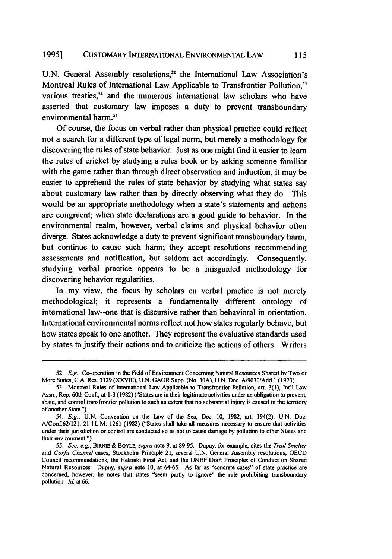U.N. General Assembly resolutions,<sup>52</sup> the International Law Association's Montreal Rules of International Law Applicable to Transfrontier Pollution.<sup>53</sup> various treaties,<sup>54</sup> and the numerous international law scholars who have asserted that customary law imposes a duty to prevent transboundary environmental harm.<sup>55</sup>

Of course, the focus on verbal rather than physical practice could reflect not a search for a different type of legal norm, but merely a methodology for discovering the rules of state behavior. Just as one might find it easier to learn the rules of cricket by studying a rules book or by asking someone familiar with the game rather than through direct observation and induction, it may be easier to apprehend the rules of state behavior by studying what states say about customary law rather than by directly observing what they do. This would be an appropriate methodology when a state's statements and actions are congruent; when state declarations are a good guide to behavior. In the environmental realm, however, verbal claims and physical behavior often diverge. States acknowledge a duty to prevent significant transboundary harm, but continue to cause such harm; they accept resolutions recommending assessments and notification, but seldom act accordingly. Consequently, studying verbal practice appears to be a misguided methodology for discovering behavior regularities.

In my view, the focus by scholars on verbal practice is not merely methodological; it represents a fundamentally different ontology of international law-one that is discursive rather than behavioral in orientation. International environmental norms reflect not how states regularly behave, but how states speak to one another. They represent the evaluative standards used by states to justify their actions and to criticize the actions of others. Writers

<sup>52.</sup> E.g., Co-operation in the Field of Environment Concerning Natural Resources Shared **by** Two or More States, **G.A.** Res. **3129** (XXVIII), U.N. GAOR Supp. (No. **30A), U.N.** Doc. **A/9030/Add.** 1 **(1973).**

**<sup>53.</sup>** Montreal Rules of International Law Applicable to Transfrontier Pollution, art. **3(1),** Int'l Law Assn., Rep. 60th Conf., at **1-3** (1982) ("States are in their legitimate activities under an obligation to prevent, abate, and control transfrontier pollution to such an extent that no substantial injury is caused in the territory of another State.").

<sup>54.</sup> E.g., U.N. Convention on the Law of the Sea, Dec. 10, **1982,** art. 194(2), U.N. Doc. A/Conf.62/121, 21 I.L.M. 1261 **(1982)** ("States shall take all measures necessary to ensure that activities under their jurisdiction or control are conducted so as not to cause damage **by** pollution to other States and their environment.").

<sup>55.</sup> See, e.g., BIRNIE & BOYLE, *supra* note 9, at 89-95. Dupuy, for example, cites the Trail Smelter and *Corfu Channel* cases, Stockholm Principle 21, several U.N. General Assembly resolutions, OECD Council recommendations, the Helsinki Final Act, and the UNEP Draft Principles of Conduct on Shared Natural Resources. Dupuy, supra note 10, at 64-65. As far as "concrete cases" of state practice are concerned, however, he notes that states "seem partly to ignore" the rule prohibiting transboundary pollution. *Id.* at 66.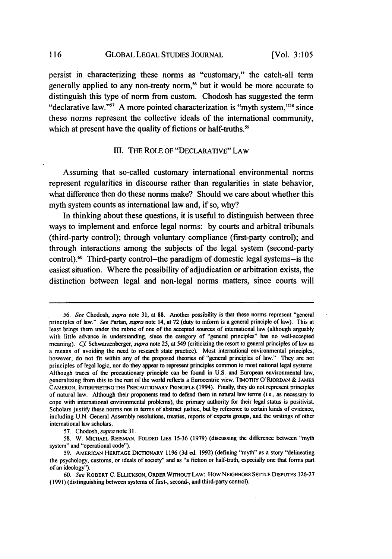persist in characterizing these norms as "customary," the catch-all term generally applied to any non-treaty norm,<sup>56</sup> but it would be more accurate to distinguish this type of norm from custom. Chodosh has suggested the term "declarative law.""' **A** more pointed characterization is "myth system,""8 since these norms represent the collective ideals of the international community, which at present have the quality of fictions or half-truths.<sup>59</sup>

#### **III.** THE ROLE OF "DECLARATIVE" LAW

Assuming that so-called customary international environmental norms represent regularities in discourse rather than regularities in state behavior, what difference then do these norms make? Should we care about whether this myth system counts as international law and, if so, why?

In thinking about these questions, it is useful to distinguish between three ways to implement and enforce legal norms: **by** courts and arbitral tribunals (third-party control); through voluntary compliance (first-party control); and through interactions among the subjects of the legal system (second-party control).<sup>60</sup> Third-party control--the paradigm of domestic legal systems--is the easiest situation. Where the possibility of adjudication or arbitration exists, the distinction between legal and non-legal norms matters, since courts will

<sup>56.</sup> See Chodosh, supra note 31, at 88. Another possibility is that these norms represent "general principles of law." See Partan, supra note 14, at 72 (duty to inform is a general principle of law). This at least brings them under the rubric of one of the accepted sources of international law (although arguably with little advance in understanding, since the category of "general principles" has no well-accepted meaning). Cf. Schwarzenberger, supra note 25, at 549 (criticizing the resort to general principles of law as a means of avoiding the need to research state practice). Most international environmental principles, however, do not fit within any of the proposed theories of "general principles of law." They are not principles of legal logic, nor do they appear to represent principles common to most national legal systems. Although traces of the precautionary principle can be found in U.S. and European environmental law, generalizing from this to the rest of the world reflects a Eurocentric view. TIMOTHY O'RoRDAN & JAMES CAMERON, INTERPRETING THE PRECAUTIONARY PRINCIPLE (1994). Finally, they do not represent principles of natural law. Although their proponents tend to defend them in natural law terms (i.e., as necessary to cope with international environmental problems), the primary authority for their legal status is positivist. Scholars justify these norms not in terms of abstract justice, but by reference to certain kinds of evidence, including U.N. General Assembly resolutions, treaties, reports of experts groups, and the writings of other international law scholars.

<sup>57.</sup> Chodosh, supra note 31.

<sup>58.</sup> W. MICHAEL **REISMAN, FOLDED LIES** 15-36 (1979) (discussing the difference between "myth system" and "operational code").

<sup>59.</sup> AMERICAN HERITAGE DICTIONARY 1196 (3d ed. 1992) (defining "myth" as a story "delineating the psychology, customs, or ideals of society" and as "a fiction or half-truth, especially one that forms part of an ideology").

<sup>60.</sup> See ROBERT C. ELLICKSON, ORDER WITHOUT LAW: HOW **NEIGHBORS** SETTLE DISPUTES 126-27 (1991) (distinguishing between systems of first-, second-, and third-party control).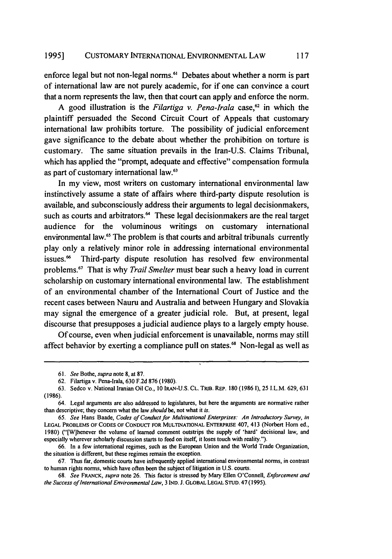enforce legal but not non-legal norms.<sup>61</sup> Debates about whether a norm is part of international law are not purely academic, for if one can convince a court that a norm represents the law, then that court can apply and enforce the norm.

A good illustration is the *Filartiga v. Pena-Irala* case,<sup>62</sup> in which the plaintiff persuaded the Second Circuit Court of Appeals that customary international law prohibits torture. The possibility of judicial enforcement gave significance to the debate about whether the prohibition on torture is customary. The same situation prevails in the Iran-U.S. Claims Tribunal, which has applied the "prompt, adequate and effective" compensation formula as part of customary international law.63

In my view, most writers on customary international environmental law instinctively assume a state of affairs where third-party dispute resolution is available, and subconsciously address their arguments to legal decisionmakers, such as courts and arbitrators.<sup>64</sup> These legal decisionmakers are the real target audience for the voluminous writings on customary international environmental law.<sup>65</sup> The problem is that courts and arbitral tribunals currently play only a relatively minor role in addressing international environmental issues.<sup>66</sup> Third-party dispute resolution has resolved few environmental problems.67 That is why *Trail Smelter* must bear such a heavy load in current scholarship on customary international environmental law. The establishment of an environmental chamber of the International Court of Justice and the recent cases between Nauru and Australia and between Hungary and Slovakia may signal the emergence of a greater judicial role. But, at present, legal discourse that presupposes a judicial audience plays to a largely empty house.

**Of** course, even when judicial enforcement is unavailable, norms may still affect behavior by exerting a compliance pull on states.<sup>68</sup> Non-legal as well as

**<sup>61.</sup>** *See* Bothe, *supra* note **8,** at **87.**

**<sup>62.</sup>** Filartiga v. Pena-Irala, **630 F.2d 876 (1980).**

**<sup>63.</sup>** Sedco v. National Iranian Oil Co., **10 IRAN-U.S. CL. TRIB.** REP. **180 (1986 1), 25** I.L.M. **629, 631 (1986).**

<sup>64.</sup> Legal arguments are also addressed to legislatures, but here the arguments are normative rather than descriptive; they concern what the law *should* be, not what it *is.*

*<sup>65.</sup> See* Hans Baade, *Codes of Conduct for Multinational Enterprises: An Introductory Survey, in* **LEGAL** PROBLEMS OF **CODES** OF CONDUCT FOR MULTINATIONAL ENTERPRISE 407, 413 (Norbert **Horn** ed., **1980)** ("[W]henever the volume of learned comment outstrips the supply of 'hard' decisional law, and especially wherever scholarly discussion starts to feed on itself, it loses touch with reality.").

**<sup>66.</sup>** In a few international regimes, such as the European Union and the World Trade Organization, the situation is different, but these regimes remain the exception.

**<sup>67.</sup>** Thus far, domestic courts have infrequently applied international environmental norms, in contrast to human rights norms, which have often been the subject of litigation in **U.S.** courts.

**<sup>68.</sup>** *See* FRANCK, *supra* note **26.** This factor is stressed **by** Mary Ellen O'Connell, *Enforcement and the Success of International Environmental Law,* **3 IND. J.** GLOBAL **LEGAL STUD.** 47 **(1995).**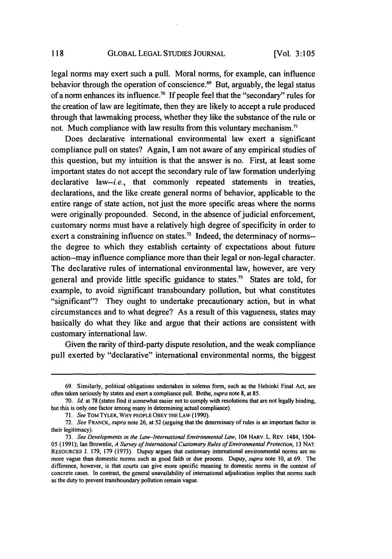legal norms may exert such a pull. Moral norms, for example, can influence behavior through the operation of conscience.<sup>69</sup> But, arguably, the legal status of a norm enhances its influence.<sup>70</sup> If people feel that the "secondary" rules for the creation of law are legitimate, then they are likely to accept a rule produced through that lawmaking process, whether they like the substance of the rule or not. Much compliance with law results from this voluntary mechanism.<sup>71</sup>

Does declarative international environmental law exert a significant compliance pull on states? Again, I am not aware of any empirical studies of this question, but my intuition is that the answer is no. First, at least some important states do not accept the secondary rule of law formation underlying declarative law--*i.e.*, that commonly repeated statements in treaties, declarations, and the like create general norms of behavior, applicable to the entire range of state action, not just the more specific areas where the norms were originally propounded. Second, in the absence of judicial enforcement, customary norms must have a relatively high degree of specificity in order to exert a constraining influence on states.<sup>72</sup> Indeed, the determinacy of norms-the degree to which they establish certainty of expectations about future action--may influence compliance more than their legal or non-legal character. The declarative rules of international environmental law, however, are very general and provide little specific guidance to states.<sup>73</sup> States are told, for example, to avoid significant transboundary pollution, but what constitutes "significant"? They ought to undertake precautionary action, but in what circumstances and to what degree? As a result of this vagueness, states may basically do what they like and argue that their actions are consistent with customary international law.

Given the rarity of third-party dispute resolution, and the weak compliance pull exerted by "declarative" international environmental norms, the biggest

<sup>69.</sup> Similarly, political obligations undertaken in solemn form, such as the Helsinki Final Act, are often taken seriously by states and exert a compliance pull. Bothe, *supra* note 8, at 85.

<sup>70.</sup> *Id.* at 78 (states find it somewhat easier not to comply with resolutions that are not legally binding, but this is only one factor among many in determining actual compliance).

**<sup>71.</sup>** *See* TOM TYLER, WHY PEOPLE OBEY THE LAW (1990).

<sup>72.</sup> *See* FRANCK, *supra* note 26, at 52 (arguing that the determinacy of rules is an important factor in their legitimacy).

<sup>73.</sup> *See Developments* in *the Law-International Environmental Law,* 104 HARV. L. REv. 1484, 1504- 05 (1991); Ian Brownlie, *A Survey of International Customary Rules of Environmental Protection,* 13 NAT. RESOURCES J. 179, 179 (1973). Dupuy argues that customary international environmental norms are no more vague than domestic norms such as good faith or due process. Dupuy, *supra* note 10, at 69. The difference, however, is that courts can give more specific meaning to domestic norms in the context of concrete cases. In contrast, the general unavailability of international adjudication implies that norms such as the duty to prevent transboundary pollution remain vague.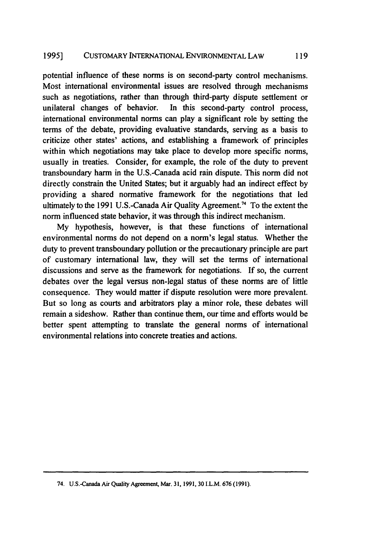potential influence of these norms is on second-party control mechanisms. Most international environmental issues are resolved through mechanisms such as negotiations, rather than through third-party dispute settlement or unilateral changes of behavior. In this second-party control process, international environmental norms can play a significant role by setting the terms of the debate, providing evaluative standards, serving as a basis to criticize other states' actions, and establishing a framework of principles within which negotiations may take place to develop more specific norms, usually in treaties. Consider, for example, the role of the duty to prevent transboundary harm in the U.S.-Canada acid rain dispute. This norm did not directly constrain the United States; but it arguably had an indirect effect by providing a shared normative framework for the negotiations that led ultimately to the 1991 U.S.-Canada Air Quality Agreement. 74 To the extent the norm influenced state behavior, it was through this indirect mechanism.

My hypothesis, however, is that these functions of international environmental norms do not depend on a norm's legal status. Whether the duty to prevent transboundary pollution or the precautionary principle are part of customary international law, they will set the terms of international discussions and serve as the framework for negotiations. If so, the current debates over the legal versus non-legal status of these norms are of little consequence. They would matter if dispute resolution were more prevalent. But so long as courts and arbitrators play a minor role, these debates will remain a sideshow. Rather than continue them, our time and efforts would be better spent attempting to translate the general norms of international environmental relations into concrete treaties and actions.

<sup>74.</sup> U.S.-Canada Air Quality Agreement, Mar. **31, 1991,30** I.L.M. **676 (1991).**